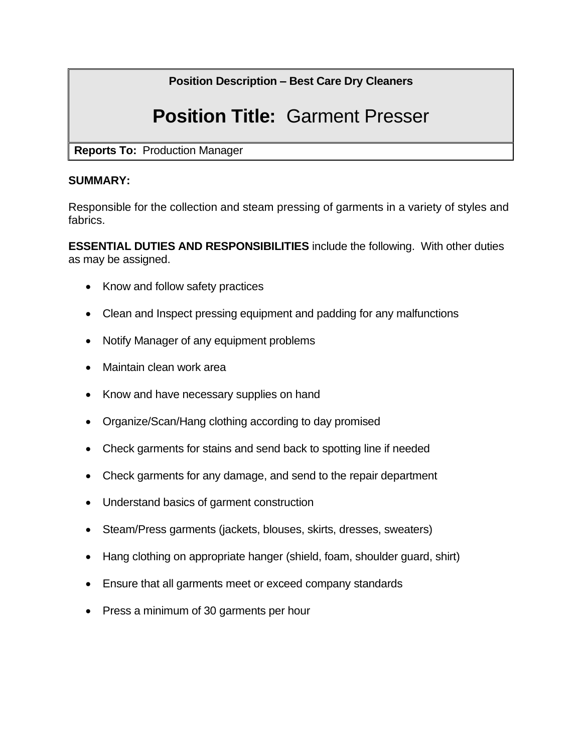# **Position Description – Best Care Dry Cleaners**

# **Position Title:** Garment Presser

**Reports To:** Production Manager

#### **SUMMARY:**

Responsible for the collection and steam pressing of garments in a variety of styles and fabrics.

**ESSENTIAL DUTIES AND RESPONSIBILITIES** include the following. With other duties as may be assigned.

- Know and follow safety practices
- Clean and Inspect pressing equipment and padding for any malfunctions
- Notify Manager of any equipment problems
- Maintain clean work area
- Know and have necessary supplies on hand
- Organize/Scan/Hang clothing according to day promised
- Check garments for stains and send back to spotting line if needed
- Check garments for any damage, and send to the repair department
- Understand basics of garment construction
- Steam/Press garments (jackets, blouses, skirts, dresses, sweaters)
- Hang clothing on appropriate hanger (shield, foam, shoulder guard, shirt)
- Ensure that all garments meet or exceed company standards
- Press a minimum of 30 garments per hour